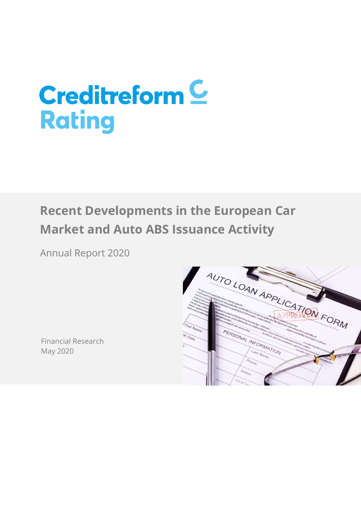# **Creditreform C Rating**

# **Recent Developments in the European Car Market and Auto ABS Issuance Activity**

Annual Report 2020



Financial Research May 2020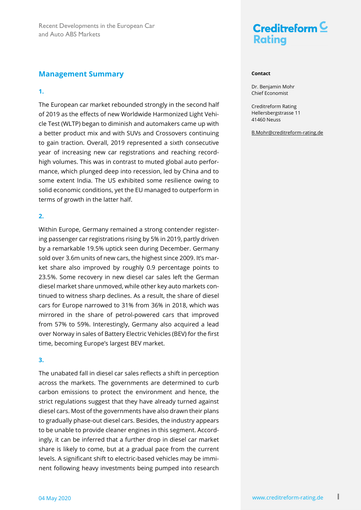### **Management Summary**

### **1.**

The European car market rebounded strongly in the second half of 2019 as the effects of new Worldwide Harmonized Light Vehicle Test (WLTP) began to diminish and automakers came up with a better product mix and with SUVs and Crossovers continuing to gain traction. Overall, 2019 represented a sixth consecutive year of increasing new car registrations and reaching recordhigh volumes. This was in contrast to muted global auto performance, which plunged deep into recession, led by China and to some extent India. The US exhibited some resilience owing to solid economic conditions, yet the EU managed to outperform in terms of growth in the latter half.

### **2.**

Within Europe, Germany remained a strong contender registering passenger car registrations rising by 5% in 2019, partly driven by a remarkable 19.5% uptick seen during December. Germany sold over 3.6m units of new cars, the highest since 2009. It's market share also improved by roughly 0.9 percentage points to 23.5%. Some recovery in new diesel car sales left the German diesel market share unmoved, while other key auto markets continued to witness sharp declines. As a result, the share of diesel cars for Europe narrowed to 31% from 36% in 2018, which was mirrored in the share of petrol-powered cars that improved from 57% to 59%. Interestingly, Germany also acquired a lead over Norway in sales of Battery Electric Vehicles (BEV) for the first time, becoming Europe's largest BEV market.

### **3.**

The unabated fall in diesel car sales reflects a shift in perception across the markets. The governments are determined to curb carbon emissions to protect the environment and hence, the strict regulations suggest that they have already turned against diesel cars. Most of the governments have also drawn their plans to gradually phase-out diesel cars. Besides, the industry appears to be unable to provide cleaner engines in this segment. Accordingly, it can be inferred that a further drop in diesel car market share is likely to come, but at a gradual pace from the current levels. A significant shift to electric-based vehicles may be imminent following heavy investments being pumped into research



#### **Contact**

Dr. Benjamin Mohr Chief Economist

Creditreform Rating Hellersbergstrasse 11 41460 Neuss

B.Mohr@creditreform-rating.de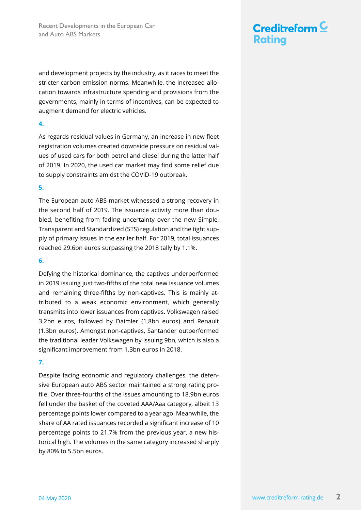and development projects by the industry, as it races to meet the stricter carbon emission norms. Meanwhile, the increased allocation towards infrastructure spending and provisions from the governments, mainly in terms of incentives, can be expected to augment demand for electric vehicles.

### **4.**

As regards residual values in Germany, an increase in new fleet registration volumes created downside pressure on residual values of used cars for both petrol and diesel during the latter half of 2019. In 2020, the used car market may find some relief due to supply constraints amidst the COVID-19 outbreak.

### **5.**

The European auto ABS market witnessed a strong recovery in the second half of 2019. The issuance activity more than doubled, benefiting from fading uncertainty over the new Simple, Transparent and Standardized (STS) regulation and the tight supply of primary issues in the earlier half. For 2019, total issuances reached 29.6bn euros surpassing the 2018 tally by 1.1%.

### **6.**

Defying the historical dominance, the captives underperformed in 2019 issuing just two-fifths of the total new issuance volumes and remaining three-fifths by non-captives. This is mainly attributed to a weak economic environment, which generally transmits into lower issuances from captives. Volkswagen raised 3.2bn euros, followed by Daimler (1.8bn euros) and Renault (1.3bn euros). Amongst non-captives, Santander outperformed the traditional leader Volkswagen by issuing 9bn, which is also a significant improvement from 1.3bn euros in 2018.

### **7.**

Despite facing economic and regulatory challenges, the defensive European auto ABS sector maintained a strong rating profile. Over three-fourths of the issues amounting to 18.9bn euros fell under the basket of the coveted AAA/Aaa category, albeit 13 percentage points lower compared to a year ago. Meanwhile, the share of AA rated issuances recorded a significant increase of 10 percentage points to 21.7% from the previous year, a new historical high. The volumes in the same category increased sharply by 80% to 5.5bn euros.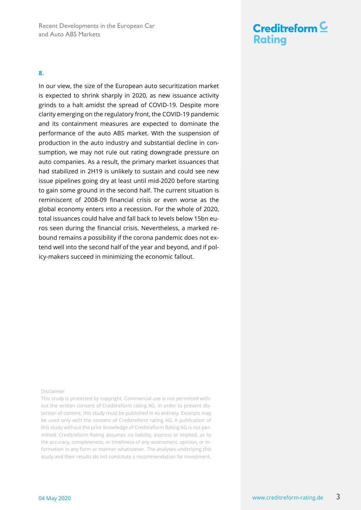

**8.**

In our view, the size of the European auto securitization market is expected to shrink sharply in 2020, as new issuance activity grinds to a halt amidst the spread of COVID-19. Despite more clarity emerging on the regulatory front, the COVID-19 pandemic and its containment measures are expected to dominate the performance of the auto ABS market. With the suspension of production in the auto industry and substantial decline in consumption, we may not rule out rating downgrade pressure on auto companies. As a result, the primary market issuances that had stabilized in 2H19 is unlikely to sustain and could see new issue pipelines going dry at least until mid-2020 before starting to gain some ground in the second half. The current situation is reminiscent of 2008-09 financial crisis or even worse as the global economy enters into a recession. For the whole of 2020, total issuances could halve and fall back to levels below 15bn euros seen during the financial crisis. Nevertheless, a marked rebound remains a possibility if the corona pandemic does not extend well into the second half of the year and beyond, and if policy-makers succeed in minimizing the economic fallout.

#### Disclaimer

This study is protected by copyright. Commercial use is not permitted without the written consent of Creditreform rating AG. In order to prevent distortion of content, this study must be published in its entirety. Excerpts may be used only with the consent of Creditreform rating AG. A publication of this study without the prior knowledge of Creditreform Rating AG is not permitted. Creditreform Rating assumes no liability, express or implied, as to the accuracy, completeness, or timeliness of any assessment, opinion, or information in any form or manner whatsoever. The analyses underlying this study and their results do not constitute a recommendation for investment.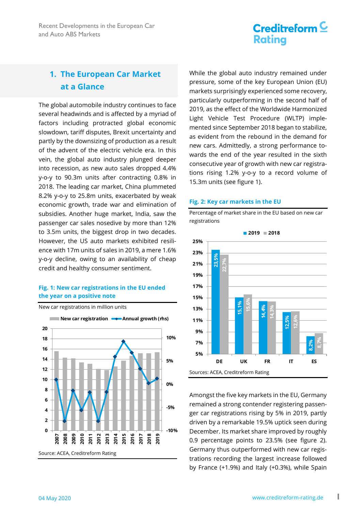# Creditreform  $\underline{\mathsf{C}}$ **Rating**

### **1. The European Car Market at a Glance**

The global automobile industry continues to face several headwinds and is affected by a myriad of factors including protracted global economic slowdown, tariff disputes, Brexit uncertainty and partly by the downsizing of production as a result of the advent of the electric vehicle era. In this vein, the global auto industry plunged deeper into recession, as new auto sales dropped 4.4% y-o-y to 90.3m units after contracting 0.8% in 2018. The leading car market, China plummeted 8.2% y-o-y to 25.8m units, exacerbated by weak economic growth, trade war and elimination of subsidies. Another huge market, India, saw the passenger car sales nosedive by more than 12% to 3.5m units, the biggest drop in two decades. However, the US auto markets exhibited resilience with 17m units of sales in 2019, a mere 1.6% y-o-y decline, owing to an availability of cheap credit and healthy consumer sentiment.

### **Fig. 1: New car registrations in the EU ended the year on a positive note**



New car registrations in million units

While the global auto industry remained under pressure, some of the key European Union (EU) markets surprisingly experienced some recovery, particularly outperforming in the second half of 2019, as the effect of the Worldwide Harmonized Light Vehicle Test Procedure (WLTP) implemented since September 2018 began to stabilize, as evident from the rebound in the demand for new cars. Admittedly, a strong performance towards the end of the year resulted in the sixth consecutive year of growth with new car registrations rising 1.2% y-o-y to a record volume of 15.3m units (see figure 1).

#### **Fig. 2: Key car markets in the EU**

Percentage of market share in the EU based on new car registrations



Amongst the five key markets in the EU, Germany remained a strong contender registering passenger car registrations rising by 5% in 2019, partly driven by a remarkable 19.5% uptick seen during December. Its market share improved by roughly 0.9 percentage points to 23.5% (see figure 2). Germany thus outperformed with new car registrations recording the largest increase followed by France (+1.9%) and Italy (+0.3%), while Spain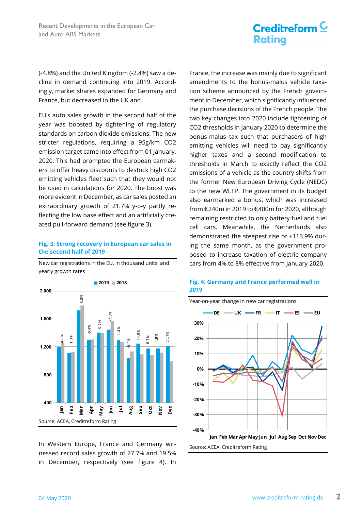(-4.8%) and the United Kingdom (-2.4%) saw a decline in demand continuing into 2019. Accordingly, market shares expanded for Germany and France, but decreased in the UK and.

EU's auto sales growth in the second half of the year was boosted by tightening of regulatory standards on carbon dioxide emissions. The new stricter regulations, requiring a 95g/km CO2 emission target came into effect from 01 January, 2020. This had prompted the European carmakers to offer heavy discounts to destock high CO2 emitting vehicles fleet such that they would not be used in calculations for 2020. The boost was more evident in December, as car sales posted an extraordinary growth of 21.7% y-o-y partly reflecting the low base effect and an artificially created pull-forward demand (see figure 3).

### **Fig. 3: Strong recovery in European car sales in the second half of 2019**

New car registrations in the EU, in thousand units, and yearly growth rates



In Western Europe, France and Germany witnessed record sales growth of 27.7% and 19.5% in December, respectively (see figure 4). In

France, the increase was mainly due to significant amendments to the bonus-malus vehicle taxation scheme announced by the French government in December, which significantly influenced the purchase decisions of the French people. The two key changes into 2020 include tightening of CO2 thresholds in January 2020 to determine the bonus-malus tax such that purchasers of high emitting vehicles will need to pay significantly higher taxes and a second modification to thresholds in March to exactly reflect the CO2 emissions of a vehicle as the country shifts from the former New European Driving Cycle (NEDC) to the new WLTP. The government in its budget also earmarked a bonus, which was increased from €240m in 2019 to €400m for 2020, although remaining restricted to only battery fuel and fuel cell cars. Meanwhile, the Netherlands also demonstrated the steepest rise of +113.9% during the same month, as the government proposed to increase taxation of electric company cars from 4% to 8% effective from January 2020.



### **Fig. 4: Germany and France performed well in 2019**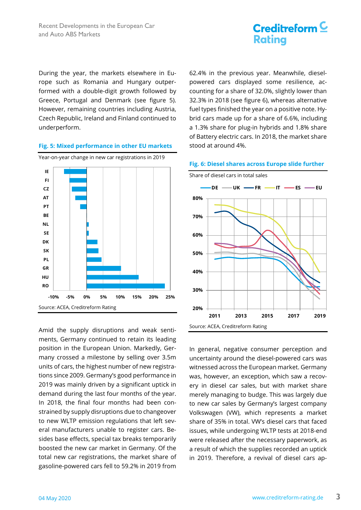

During the year, the markets elsewhere in Europe such as Romania and Hungary outperformed with a double-digit growth followed by Greece, Portugal and Denmark (see figure 5). However, remaining countries including Austria, Czech Republic, Ireland and Finland continued to underperform.

#### **Fig. 5: Mixed performance in other EU markets**



Amid the supply disruptions and weak sentiments, Germany continued to retain its leading position in the European Union. Markedly, Germany crossed a milestone by selling over 3.5m units of cars, the highest number of new registrations since 2009. Germany's good performance in 2019 was mainly driven by a significant uptick in demand during the last four months of the year. In 2018, the final four months had been constrained by supply disruptions due to changeover to new WLTP emission regulations that left several manufacturers unable to register cars. Besides base effects, special tax breaks temporarily boosted the new car market in Germany. Of the total new car registrations, the market share of gasoline-powered cars fell to 59.2% in 2019 from

62.4% in the previous year. Meanwhile, dieselpowered cars displayed some resilience, accounting for a share of 32.0%, slightly lower than 32.3% in 2018 (see figure 6), whereas alternative fuel types finished the year on a positive note. Hybrid cars made up for a share of 6.6%, including a 1.3% share for plug-in hybrids and 1.8% share of Battery electric cars. In 2018, the market share stood at around 4%.



In general, negative consumer perception and uncertainty around the diesel-powered cars was witnessed across the European market. Germany was, however, an exception, which saw a recovery in diesel car sales, but with market share merely managing to budge. This was largely due to new car sales by Germany's largest company Volkswagen (VW), which represents a market share of 35% in total. VW's diesel cars that faced issues, while undergoing WLTP tests at 2018-end were released after the necessary paperwork, as a result of which the supplies recorded an uptick in 2019. Therefore, a revival of diesel cars ap-

#### **Fig. 6: Diesel shares across Europe slide further**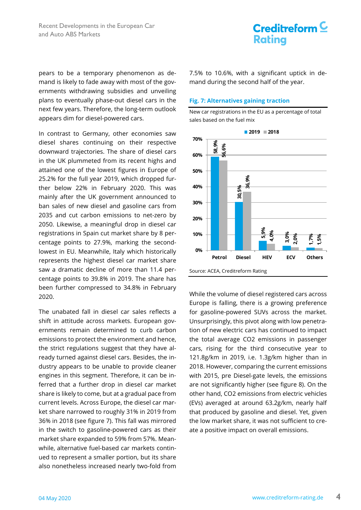pears to be a temporary phenomenon as demand is likely to fade away with most of the governments withdrawing subsidies and unveiling plans to eventually phase-out diesel cars in the next few years. Therefore, the long-term outlook appears dim for diesel-powered cars.

In contrast to Germany, other economies saw diesel shares continuing on their respective downward trajectories. The share of diesel cars in the UK plummeted from its recent highs and attained one of the lowest figures in Europe of 25.2% for the full year 2019, which dropped further below 22% in February 2020. This was mainly after the UK government announced to ban sales of new diesel and gasoline cars from 2035 and cut carbon emissions to net-zero by 2050. Likewise, a meaningful drop in diesel car registrations in Spain cut market share by 8 percentage points to 27.9%, marking the secondlowest in EU. Meanwhile, Italy which historically represents the highest diesel car market share saw a dramatic decline of more than 11.4 percentage points to 39.8% in 2019. The share has been further compressed to 34.8% in February 2020.

The unabated fall in diesel car sales reflects a shift in attitude across markets. European governments remain determined to curb carbon emissions to protect the environment and hence, the strict regulations suggest that they have already turned against diesel cars. Besides, the industry appears to be unable to provide cleaner engines in this segment. Therefore, it can be inferred that a further drop in diesel car market share is likely to come, but at a gradual pace from current levels. Across Europe, the diesel car market share narrowed to roughly 31% in 2019 from 36% in 2018 (see figure 7). This fall was mirrored in the switch to gasoline-powered cars as their market share expanded to 59% from 57%. Meanwhile, alternative fuel-based car markets continued to represent a smaller portion, but its share also nonetheless increased nearly two-fold from

7.5% to 10.6%, with a significant uptick in demand during the second half of the year.

New car registrations in the EU as a percentage of total

#### **Fig. 7: Alternatives gaining traction**



While the volume of diesel registered cars across Europe is falling, there is a growing preference for gasoline-powered SUVs across the market. Unsurprisingly, this pivot along with low penetration of new electric cars has continued to impact the total average CO2 emissions in passenger cars, rising for the third consecutive year to 121.8g/km in 2019, i.e. 1.3g/km higher than in 2018. However, comparing the current emissions with 2015, pre Diesel-gate levels, the emissions are not significantly higher (see figure 8). On the other hand, CO2 emissions from electric vehicles (EVs) averaged at around 63.2g/km, nearly half that produced by gasoline and diesel. Yet, given the low market share, it was not sufficient to cre-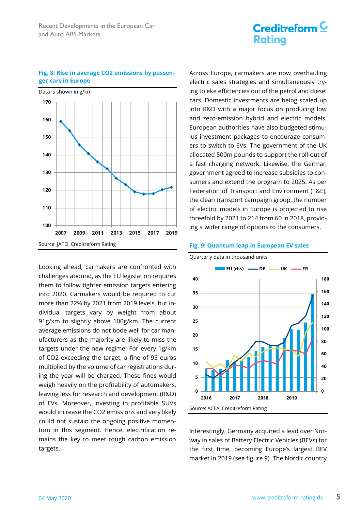# Data is shown in g/km Source: JATO, Creditreform Rating **100 110 120 130 140 150 160 170 2007 2009 2011 2013 2015 2017 2019**

Looking ahead, carmakers are confronted with challenges abound, as the EU legislation requires them to follow tighter emission targets entering into 2020. Carmakers would be required to cut more than 22% by 2021 from 2019 levels, but individual targets vary by weight from about 91g/km to slightly above 100g/km. The current average emissions do not bode well for car manufacturers as the majority are likely to miss the targets under the new regime. For every 1g/km of CO2 exceeding the target, a fine of 95 euros multiplied by the volume of car registrations during the year will be charged. These fines would weigh heavily on the profitability of automakers, leaving less for research and development (R&D) of EVs. Moreover, investing in profitable SUVs would increase the CO2 emissions and very likely could not sustain the ongoing positive momentum in this segment. Hence, electrification remains the key to meet tough carbon emission targets.

Across Europe, carmakers are now overhauling electric sales strategies and simultaneously trying to eke efficiencies out of the petrol and diesel cars. Domestic investments are being scaled up into R&D with a major focus on producing low and zero-emission hybrid and electric models. European authorities have also budgeted stimulus investment packages to encourage consumers to switch to EVs. The government of the UK allocated 500m pounds to support the roll-out of a fast charging network. Likewise, the German government agreed to increase subsidies to consumers and extend the program to 2025. As per Federation of Transport and Environment (T&E), the clean transport campaign group, the number of electric models in Europe is projected to rise threefold by 2021 to 214 from 60 in 2018, providing a wider range of options to the consumers.

#### **Fig. 9: Quantum leap in European EV sales**



Interestingly, Germany acquired a lead over Norway in sales of Battery Electric Vehicles (BEVs) for the first time, becoming Europe's largest BEV market in 2019 (see figure 9). The Nordic country

#### **Fig. 8: Rise in average CO2 emissions by passenger cars in Europe**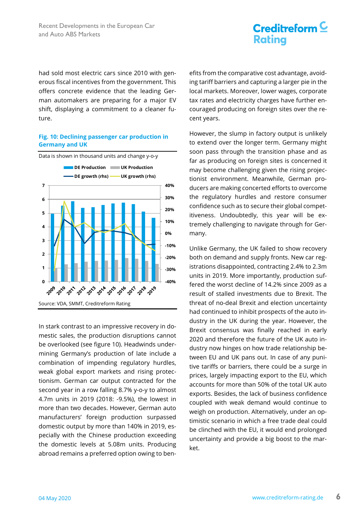had sold most electric cars since 2010 with generous fiscal incentives from the government. This offers concrete evidence that the leading German automakers are preparing for a major EV shift, displaying a commitment to a cleaner future.

### **Fig. 10: Declining passenger car production in Germany and UK**



In stark contrast to an impressive recovery in domestic sales, the production disruptions cannot be overlooked (see figure 10). Headwinds undermining Germany's production of late include a combination of impending regulatory hurdles, weak global export markets and rising protectionism. German car output contracted for the second year in a row falling 8.7% y-o-y to almost 4.7m units in 2019 (2018: -9.5%), the lowest in more than two decades. However, German auto manufacturers' foreign production surpassed domestic output by more than 140% in 2019, especially with the Chinese production exceeding the domestic levels at 5.08m units. Producing abroad remains a preferred option owing to benefits from the comparative cost advantage, avoiding tariff barriers and capturing a larger pie in the local markets. Moreover, lower wages, corporate tax rates and electricity charges have further encouraged producing on foreign sites over the recent years.

However, the slump in factory output is unlikely to extend over the longer term. Germany might soon pass through the transition phase and as far as producing on foreign sites is concerned it may become challenging given the rising projectionist environment. Meanwhile, German producers are making concerted efforts to overcome the regulatory hurdles and restore consumer confidence such as to secure their global competitiveness. Undoubtedly, this year will be extremely challenging to navigate through for Germany.

Unlike Germany, the UK failed to show recovery both on demand and supply fronts. New car registrations disappointed, contracting 2.4% to 2.3m units in 2019. More importantly, production suffered the worst decline of 14.2% since 2009 as a result of stalled investments due to Brexit. The threat of no-deal Brexit and election uncertainty had continued to inhibit prospects of the auto industry in the UK during the year. However, the Brexit consensus was finally reached in early 2020 and therefore the future of the UK auto industry now hinges on how trade relationship between EU and UK pans out. In case of any punitive tariffs or barriers, there could be a surge in prices, largely impacting export to the EU, which accounts for more than 50% of the total UK auto exports. Besides, the lack of business confidence coupled with weak demand would continue to weigh on production. Alternatively, under an optimistic scenario in which a free trade deal could be clinched with the EU, it would end prolonged uncertainty and provide a big boost to the market.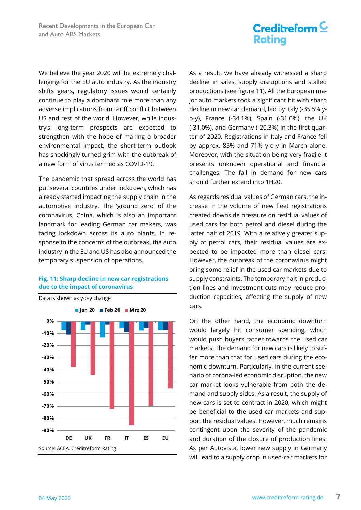We believe the year 2020 will be extremely challenging for the EU auto industry. As the industry shifts gears, regulatory issues would certainly continue to play a dominant role more than any adverse implications from tariff conflict between US and rest of the world. However, while industry's long-term prospects are expected to strengthen with the hope of making a broader environmental impact, the short-term outlook has shockingly turned grim with the outbreak of a new form of virus termed as COVID-19.

The pandemic that spread across the world has put several countries under lockdown, which has already started impacting the supply chain in the automotive industry. The 'ground zero' of the coronavirus, China, which is also an important landmark for leading German car makers, was facing lockdown across its auto plants. In response to the concerns of the outbreak, the auto industry in the EU and US has also announced the temporary suspension of operations.

#### **Fig. 11: Sharp decline in new car registrations due to the impact of coronavirus**



As a result, we have already witnessed a sharp decline in sales, supply disruptions and stalled productions (see figure 11). All the European major auto markets took a significant hit with sharp decline in new car demand, led by Italy (-35.5% yo-y), France (-34.1%), Spain (-31.0%), the UK (-31.0%), and Germany (-20.3%) in the first quarter of 2020. Registrations in Italy and France fell by approx. 85% and 71% y-o-y in March alone. Moreover, with the situation being very fragile it presents unknown operational and financial challenges. The fall in demand for new cars should further extend into 1H20.

As regards residual values of German cars, the increase in the volume of new fleet registrations created downside pressure on residual values of used cars for both petrol and diesel during the latter half of 2019. With a relatively greater supply of petrol cars, their residual values are expected to be impacted more than diesel cars. However, the outbreak of the coronavirus might bring some relief in the used car markets due to supply constraints. The temporary halt in production lines and investment cuts may reduce production capacities, affecting the supply of new cars.

On the other hand, the economic downturn would largely hit consumer spending, which would push buyers rather towards the used car markets. The demand for new cars is likely to suffer more than that for used cars during the economic downturn. Particularly, in the current scenario of corona-led economic disruption, the new car market looks vulnerable from both the demand and supply sides. As a result, the supply of new cars is set to contract in 2020, which might be beneficial to the used car markets and support the residual values. However, much remains contingent upon the severity of the pandemic and duration of the closure of production lines. As per Autovista, lower new supply in Germany will lead to a supply drop in used-car markets for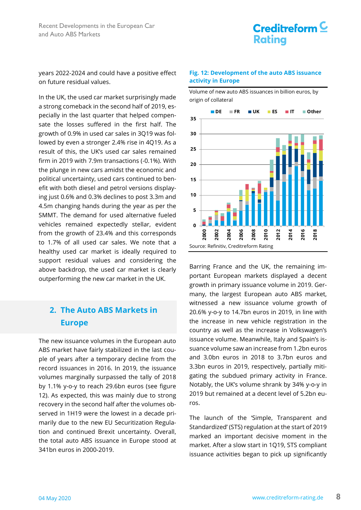

years 2022-2024 and could have a positive effect on future residual values.

In the UK, the used car market surprisingly made a strong comeback in the second half of 2019, especially in the last quarter that helped compensate the losses suffered in the first half. The growth of 0.9% in used car sales in 3Q19 was followed by even a stronger 2.4% rise in 4Q19. As a result of this, the UK's used car sales remained firm in 2019 with 7.9m transactions (-0.1%). With the plunge in new cars amidst the economic and political uncertainty, used cars continued to benefit with both diesel and petrol versions displaying just 0.6% and 0.3% declines to post 3.3m and 4.5m changing hands during the year as per the SMMT. The demand for used alternative fueled vehicles remained expectedly stellar, evident from the growth of 23.4% and this corresponds to 1.7% of all used car sales. We note that a healthy used car market is ideally required to support residual values and considering the above backdrop, the used car market is clearly outperforming the new car market in the UK.

### **2. The Auto ABS Markets in Europe**

The new issuance volumes in the European auto ABS market have fairly stabilized in the last couple of years after a temporary decline from the record issuances in 2016. In 2019, the issuance volumes marginally surpassed the tally of 2018 by 1.1% y-o-y to reach 29.6bn euros (see figure 12). As expected, this was mainly due to strong recovery in the second half after the volumes observed in 1H19 were the lowest in a decade primarily due to the new EU Securitization Regulation and continued Brexit uncertainty. Overall, the total auto ABS issuance in Europe stood at 341bn euros in 2000-2019.

#### **Fig. 12: Development of the auto ABS issuance activity in Europe**



Volume of new auto ABS issuances in billion euros, by origin of collateral

Barring France and the UK, the remaining important European markets displayed a decent growth in primary issuance volume in 2019. Germany, the largest European auto ABS market, witnessed a new issuance volume growth of 20.6% y-o-y to 14.7bn euros in 2019, in line with the increase in new vehicle registration in the country as well as the increase in Volkswagen's issuance volume. Meanwhile, Italy and Spain's issuance volume saw an increase from 1.2bn euros and 3.0bn euros in 2018 to 3.7bn euros and 3.3bn euros in 2019, respectively, partially mitigating the subdued primary activity in France. Notably, the UK's volume shrank by 34% y-o-y in 2019 but remained at a decent level of 5.2bn euros.

The launch of the 'Simple, Transparent and Standardized' (STS) regulation at the start of 2019 marked an important decisive moment in the market. After a slow start in 1Q19, STS compliant issuance activities began to pick up significantly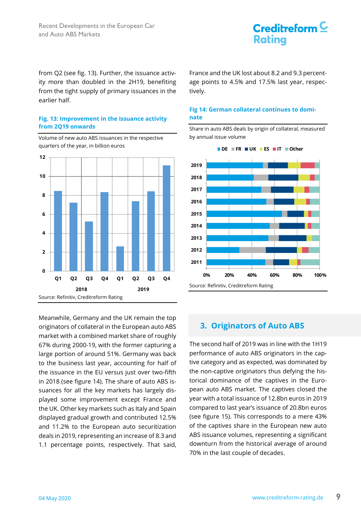### Creditreform  $\underline{\mathsf{C}}$ **Rating**

from Q2 (see fig. 13). Further, the issuance activity more than doubled in the 2H19, benefiting from the tight supply of primary issuances in the earlier half.

### **Fig. 13: Improvement in the issuance activity from 2Q19 onwards**

Volume of new auto ABS issuances in the respective quarters of the year, in billion euros



Meanwhile, Germany and the UK remain the top originators of collateral in the European auto ABS market with a combined market share of roughly 67% during 2000-19, with the former capturing a large portion of around 51%. Germany was back to the business last year, accounting for half of the issuance in the EU versus just over two-fifth in 2018 (see figure 14). The share of auto ABS issuances for all the key markets has largely displayed some improvement except France and the UK. Other key markets such as Italy and Spain displayed gradual growth and contributed 12.5% and 11.2% to the European auto securitization deals in 2019, representing an increase of 8.3 and 1.1 percentage points, respectively. That said,

France and the UK lost about 8.2 and 9.3 percentage points to 4.5% and 17.5% last year, respectively.

### **Fig 14: German collateral continues to dominate**

Share in auto ABS deals by origin of collateral, measured by annual issue volume



**DE FR UK ES IT Other**

### **3. Originators of Auto ABS**

The second half of 2019 was in line with the 1H19 performance of auto ABS originators in the captive category and as expected, was dominated by the non-captive originators thus defying the historical dominance of the captives in the European auto ABS market. The captives closed the year with a total issuance of 12.8bn euros in 2019 compared to last year's issuance of 20.8bn euros (see figure 15). This corresponds to a mere 43% of the captives share in the European new auto ABS issuance volumes, representing a significant downturn from the historical average of around 70% in the last couple of decades.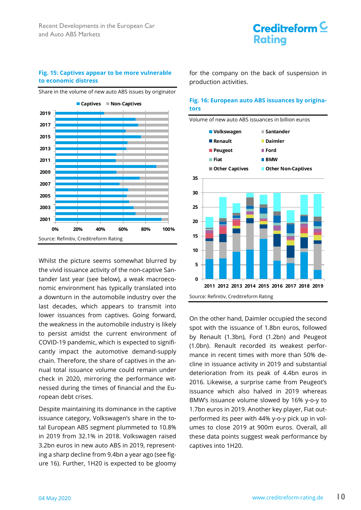#### **Fig. 15: Captives appear to be more vulnerable to economic distress**

Source: Refinitiv, Creditreform Rating **0% 20% 40% 60% 80% 100% 2001 2003 2005 2007 2009 2011 2013 2015 2017 2019 Captives Non-Captives**

Share in the volume of new auto ABS issues by originator

Whilst the picture seems somewhat blurred by the vivid issuance activity of the non-captive Santander last year (see below), a weak macroeconomic environment has typically translated into a downturn in the automobile industry over the last decades, which appears to transmit into lower issuances from captives. Going forward, the weakness in the automobile industry is likely to persist amidst the current environment of COVID-19 pandemic, which is expected to significantly impact the automotive demand-supply chain. Therefore, the share of captives in the annual total issuance volume could remain under check in 2020, mirroring the performance witnessed during the times of financial and the European debt crises.

Despite maintaining its dominance in the captive issuance category, Volkswagen's share in the total European ABS segment plummeted to 10.8% in 2019 from 32.1% in 2018. Volkswagen raised 3.2bn euros in new auto ABS in 2019, representing a sharp decline from 9.4bn a year ago (see figure 16). Further, 1H20 is expected to be gloomy

for the company on the back of suspension in production activities.

#### **Fig. 16: European auto ABS issuances by originators**



On the other hand, Daimler occupied the second spot with the issuance of 1.8bn euros, followed by Renault (1.3bn), Ford (1.2bn) and Peugeot (1.0bn). Renault recorded its weakest performance in recent times with more than 50% decline in issuance activity in 2019 and substantial deterioration from its peak of 4.4bn euros in 2016. Likewise, a surprise came from Peugeot's issuance which also halved in 2019 whereas BMW's issuance volume slowed by 16% y-o-y to 1.7bn euros in 2019. Another key player, Fiat outperformed its peer with 44% y-o-y pick up in volumes to close 2019 at 900m euros. Overall, all these data points suggest weak performance by captives into 1H20.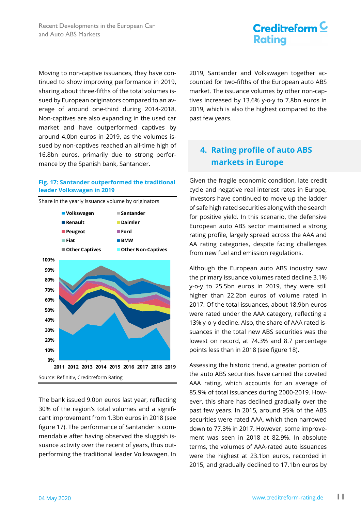### Creditreform  $\underline{\mathsf{C}}$ **Rating**

Moving to non-captive issuances, they have continued to show improving performance in 2019, sharing about three-fifths of the total volumes issued by European originators compared to an average of around one-third during 2014-2018. Non-captives are also expanding in the used car market and have outperformed captives by around 4.0bn euros in 2019, as the volumes issued by non-captives reached an all-time high of 16.8bn euros, primarily due to strong performance by the Spanish bank, Santander.

### **Fig. 17: Santander outperformed the traditional leader Volkswagen in 2019**

Share in the yearly issuance volume by originators Source: Refinitiv, Creditreform Rating **0% 10% 20% 30% 40% 50% 60% 70% 80% 90% 100% 2011 2012 2013 2014 2015 2016 2017 2018 2019 Volkswagen Santander Renault Daimler Peugeot Ford Fiat BMW Other Captives Other Non-Captives**

The bank issued 9.0bn euros last year, reflecting 30% of the region's total volumes and a significant improvement from 1.3bn euros in 2018 (see figure 17). The performance of Santander is commendable after having observed the sluggish issuance activity over the recent of years, thus outperforming the traditional leader Volkswagen. In

2019, Santander and Volkswagen together accounted for two-fifths of the European auto ABS market. The issuance volumes by other non-captives increased by 13.6% y-o-y to 7.8bn euros in 2019, which is also the highest compared to the past few years.

### **4. Rating profile of auto ABS markets in Europe**

Given the fragile economic condition, late credit cycle and negative real interest rates in Europe, investors have continued to move up the ladder of safe high rated securities along with the search for positive yield. In this scenario, the defensive European auto ABS sector maintained a strong rating profile, largely spread across the AAA and AA rating categories, despite facing challenges from new fuel and emission regulations.

Although the European auto ABS industry saw the primary issuance volumes rated decline 3.1% y-o-y to 25.5bn euros in 2019, they were still higher than 22.2bn euros of volume rated in 2017. Of the total issuances, about 18.9bn euros were rated under the AAA category, reflecting a 13% y-o-y decline. Also, the share of AAA rated issuances in the total new ABS securities was the lowest on record, at 74.3% and 8.7 percentage points less than in 2018 (see figure 18).

Assessing the historic trend, a greater portion of the auto ABS securities have carried the coveted AAA rating, which accounts for an average of 85.9% of total issuances during 2000-2019. However, this share has declined gradually over the past few years. In 2015, around 95% of the ABS securities were rated AAA, which then narrowed down to 77.3% in 2017. However, some improvement was seen in 2018 at 82.9%. In absolute terms, the volumes of AAA-rated auto issuances were the highest at 23.1bn euros, recorded in 2015, and gradually declined to 17.1bn euros by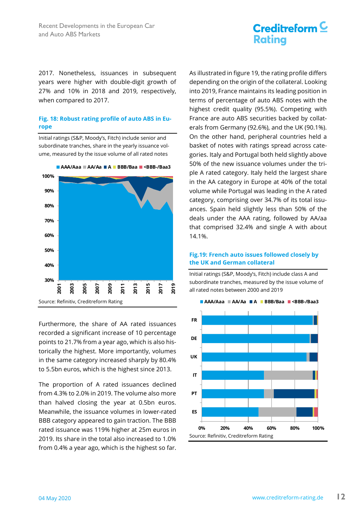2017. Nonetheless, issuances in subsequent years were higher with double-digit growth of 27% and 10% in 2018 and 2019, respectively, when compared to 2017.

#### **Fig. 18: Robust rating profile of auto ABS in Europe**

Initial ratings (S&P, Moody's, Fitch) include senior and subordinate tranches, share in the yearly issuance volume, measured by the issue volume of all rated notes



Furthermore, the share of AA rated issuances recorded a significant increase of 10 percentage points to 21.7% from a year ago, which is also historically the highest. More importantly, volumes in the same category increased sharply by 80.4% to 5.5bn euros, which is the highest since 2013.

The proportion of A rated issuances declined from 4.3% to 2.0% in 2019. The volume also more than halved closing the year at 0.5bn euros. Meanwhile, the issuance volumes in lower-rated BBB category appeared to gain traction. The BBB rated issuance was 119% higher at 25m euros in 2019. Its share in the total also increased to 1.0% from 0.4% a year ago, which is the highest so far.

As illustrated in figure 19, the rating profile differs depending on the origin of the collateral. Looking into 2019, France maintains its leading position in terms of percentage of auto ABS notes with the highest credit quality (95.5%). Competing with France are auto ABS securities backed by collaterals from Germany (92.6%), and the UK (90.1%). On the other hand, peripheral countries held a basket of notes with ratings spread across categories. Italy and Portugal both held slightly above 50% of the new issuance volumes under the triple A rated category. Italy held the largest share in the AA category in Europe at 40% of the total volume while Portugal was leading in the A rated category, comprising over 34.7% of its total issuances. Spain held slightly less than 50% of the deals under the AAA rating, followed by AA/aa that comprised 32.4% and single A with about 14.1%.

### **Fig.19: French auto issues followed closely by the UK and German collateral**

Initial ratings (S&P, Moody's, Fitch) include class A and subordinate tranches, measured by the issue volume of all rated notes between 2000 and 2019



#### **AAA/Aaa AA/Aa A BBB/Baa <BBB-/Baa3**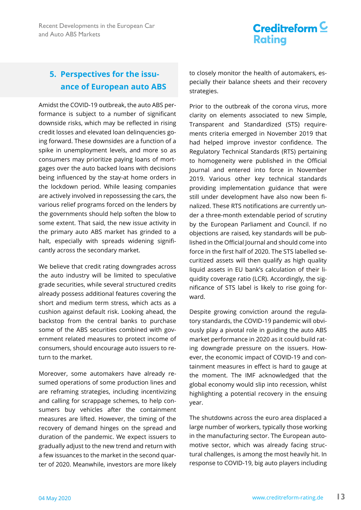### **5. Perspectives for the issuance of European auto ABS**

Amidst the COVID-19 outbreak, the auto ABS performance is subject to a number of significant downside risks, which may be reflected in rising credit losses and elevated loan delinquencies going forward. These downsides are a function of a spike in unemployment levels, and more so as consumers may prioritize paying loans of mortgages over the auto backed loans with decisions being influenced by the stay-at home orders in the lockdown period. While leasing companies are actively involved in repossessing the cars, the various relief programs forced on the lenders by the governments should help soften the blow to some extent. That said, the new issue activity in the primary auto ABS market has grinded to a halt, especially with spreads widening significantly across the secondary market.

We believe that credit rating downgrades across the auto industry will be limited to speculative grade securities, while several structured credits already possess additional features covering the short and medium term stress, which acts as a cushion against default risk. Looking ahead, the backstop from the central banks to purchase some of the ABS securities combined with government related measures to protect income of consumers, should encourage auto issuers to return to the market.

Moreover, some automakers have already resumed operations of some production lines and are reframing strategies, including incentivizing and calling for scrappage schemes, to help consumers buy vehicles after the containment measures are lifted. However, the timing of the recovery of demand hinges on the spread and duration of the pandemic. We expect issuers to gradually adjust to the new trend and return with a few issuances to the market in the second quarter of 2020. Meanwhile, investors are more likely to closely monitor the health of automakers, especially their balance sheets and their recovery strategies.

Prior to the outbreak of the corona virus, more clarity on elements associated to new Simple, Transparent and Standardized (STS) requirements criteria emerged in November 2019 that had helped improve investor confidence. The Regulatory Technical Standards (RTS) pertaining to homogeneity were published in the Official Journal and entered into force in November 2019. Various other key technical standards providing implementation guidance that were still under development have also now been finalized. These RTS notifications are currently under a three-month extendable period of scrutiny by the European Parliament and Council. If no objections are raised, key standards will be published in the Official Journal and should come into force in the first half of 2020. The STS labelled securitized assets will then qualify as high quality liquid assets in EU bank's calculation of their liquidity coverage ratio (LCR). Accordingly, the significance of STS label is likely to rise going forward.

Despite growing conviction around the regulatory standards, the COVID-19 pandemic will obviously play a pivotal role in guiding the auto ABS market performance in 2020 as it could build rating downgrade pressure on the issuers. However, the economic impact of COVID-19 and containment measures in effect is hard to gauge at the moment. The IMF acknowledged that the global economy would slip into recession, whilst highlighting a potential recovery in the ensuing year.

The shutdowns across the euro area displaced a large number of workers, typically those working in the manufacturing sector. The European automotive sector, which was already facing structural challenges, is among the most heavily hit. In response to COVID-19, big auto players including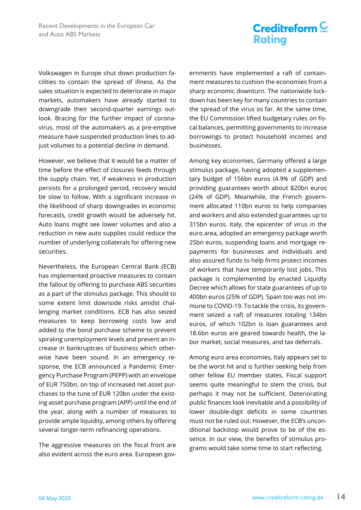Volkswagen in Europe shut down production facilities to contain the spread of illness. As the sales situation is expected to deteriorate in major markets, automakers have already started to downgrade their second-quarter earnings outlook. Bracing for the further impact of coronavirus, most of the automakers as a pre-emptive measure have suspended production lines to adjust volumes to a potential decline in demand.

However, we believe that it would be a matter of time before the effect of closures feeds through the supply chain. Yet, if weakness in production persists for a prolonged period, recovery would be slow to follow. With a significant increase in the likelihood of sharp downgrades in economic forecasts, credit growth would be adversely hit. Auto loans might see lower volumes and also a reduction in new auto supplies could reduce the number of underlying collaterals for offering new securities.

Nevertheless, the European Central Bank (ECB) has implemented proactive measures to contain the fallout by offering to purchase ABS securities as a part of the stimulus package. This should to some extent limit downside risks amidst challenging market conditions. ECB has also seized measures to keep borrowing costs low and added to the bond purchase scheme to prevent spiraling unemployment levels and prevent an increase in bankruptcies of business which otherwise have been sound. In an emergency response, the ECB announced a Pandemic Emergency Purchase Program (PEPP) with an envelope of EUR 750bn, on top of increased net asset purchases to the tune of EUR 120bn under the existing asset purchase program (APP) until the end of the year, along with a number of measures to provide ample liquidity, among others by offering several longer-term refinancing operations.

The aggressive measures on the fiscal front are also evident across the euro area. European governments have implemented a raft of containment measures to cushion the economies from a sharp economic downturn. The nationwide lockdown has been key for many countries to contain the spread of the virus so far. At the same time, the EU Commission lifted budgetary rules on fiscal balances, permitting governments to increase borrowings to protect household incomes and businesses.

Among key economies, Germany offered a large stimulus package, having adopted a supplementary budget of 156bn euros (4.9% of GDP) and providing guarantees worth about 820bn euros (24% of GDP). Meanwhile, the French government allocated 110bn euros to help companies and workers and also extended guarantees up to 315bn euros. Italy, the epicenter of virus in the euro area, adopted an emergency package worth 25bn euros, suspending loans and mortgage repayments for businesses and individuals and also assured funds to help firms protect incomes of workers that have temporarily lost jobs. This package is complemented by enacted Liquidty Decree which allows for state guarantees of up to 400bn euros (25% of GDP). Spain too was not immune to COVID-19. To tackle the crisis, its government seized a raft of measures totaling 134bn euros, of which 102bn is loan guarantees and 18.6bn euros are geared towards health, the labor market, social measures, and tax deferrals.

Among euro area economies, Italy appears set to be the worst hit and is further seeking help from other fellow EU member states. Fiscal support seems quite meaningful to stem the crisis, but perhaps it may not be sufficient. Deteriorating public finances look inevitable and a possibility of lower double-digit deficits in some countries must not be ruled out. However, the ECB's unconditional backstop would prove to be of the essence. In our view, the benefits of stimulus programs would take some time to start reflecting.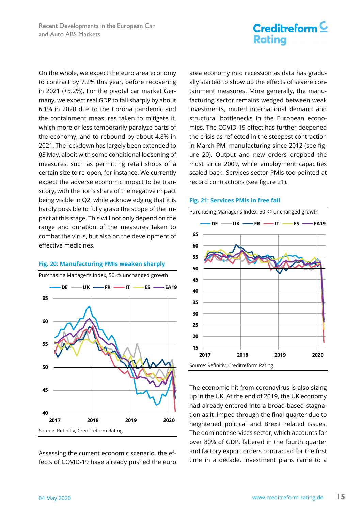On the whole, we expect the euro area economy to contract by 7.2% this year, before recovering in 2021 (+5.2%). For the pivotal car market Germany, we expect real GDP to fall sharply by about 6.1% in 2020 due to the Corona pandemic and the containment measures taken to mitigate it, which more or less temporarily paralyze parts of the economy, and to rebound by about 4.8% in 2021. The lockdown has largely been extended to 03 May, albeit with some conditional loosening of measures, such as permitting retail shops of a certain size to re-open, for instance. We currently expect the adverse economic impact to be transitory, with the lion's share of the negative impact being visible in Q2, while acknowledging that it is hardly possible to fully grasp the scope of the impact at this stage. This will not only depend on the range and duration of the measures taken to combat the virus, but also on the development of effective medicines.



**Fig. 20: Manufacturing PMIs weaken sharply** 

Assessing the current economic scenario, the effects of COVID-19 have already pushed the euro area economy into recession as data has gradually started to show up the effects of severe containment measures. More generally, the manufacturing sector remains wedged between weak investments, muted international demand and structural bottlenecks in the European economies. The COVID-19 effect has further deepened the crisis as reflected in the steepest contraction in March PMI manufacturing since 2012 (see figure 20). Output and new orders dropped the most since 2009, while employment capacities scaled back. Services sector PMIs too pointed at record contractions (see figure 21).

#### **Fig. 21: Services PMIs in free fall**



The economic hit from coronavirus is also sizing up in the UK. At the end of 2019, the UK economy had already entered into a broad-based stagnation as it limped through the final quarter due to heightened political and Brexit related issues. The dominant services sector, which accounts for over 80% of GDP, faltered in the fourth quarter and factory export orders contracted for the first time in a decade. Investment plans came to a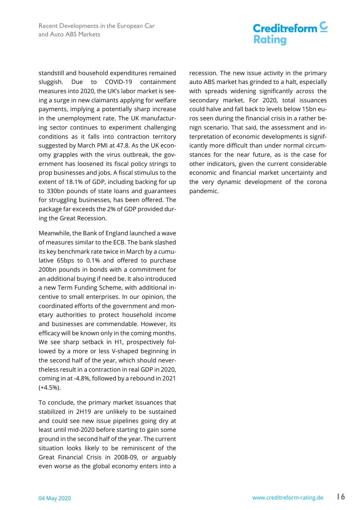standstill and household expenditures remained sluggish. Due to COVID-19 containment measures into 2020, the UK's labor market is seeing a surge in new claimants applying for welfare payments, implying a potentially sharp increase in the unemployment rate. The UK manufacturing sector continues to experiment challenging conditions as it falls into contraction territory suggested by March PMI at 47.8. As the UK economy grapples with the virus outbreak, the government has loosened its fiscal policy strings to prop businesses and jobs. A fiscal stimulus to the extent of 18.1% of GDP, including backing for up to 330bn pounds of state loans and guarantees for struggling businesses, has been offered. The package far exceeds the 2% of GDP provided during the Great Recession.

Meanwhile, the Bank of England launched a wave of measures similar to the ECB. The bank slashed its key benchmark rate twice in March by a cumulative 65bps to 0.1% and offered to purchase 200bn pounds in bonds with a commitment for an additional buying if need be. It also introduced a new Term Funding Scheme, with additional incentive to small enterprises. In our opinion, the coordinated efforts of the government and monetary authorities to protect household income and businesses are commendable. However, its efficacy will be known only in the coming months. We see sharp setback in H1, prospectively followed by a more or less V-shaped beginning in the second half of the year, which should nevertheless result in a contraction in real GDP in 2020, coming in at -4.8%, followed by a rebound in 2021 (+4.5%).

To conclude, the primary market issuances that stabilized in 2H19 are unlikely to be sustained and could see new issue pipelines going dry at least until mid-2020 before starting to gain some ground in the second half of the year. The current situation looks likely to be reminiscent of the Great Financial Crisis in 2008-09, or arguably even worse as the global economy enters into a

recession. The new issue activity in the primary auto ABS market has grinded to a halt, especially with spreads widening significantly across the secondary market. For 2020, total issuances could halve and fall back to levels below 15bn euros seen during the financial crisis in a rather benign scenario. That said, the assessment and interpretation of economic developments is significantly more difficult than under normal circumstances for the near future, as is the case for other indicators, given the current considerable economic and financial market uncertainty and the very dynamic development of the corona pandemic.